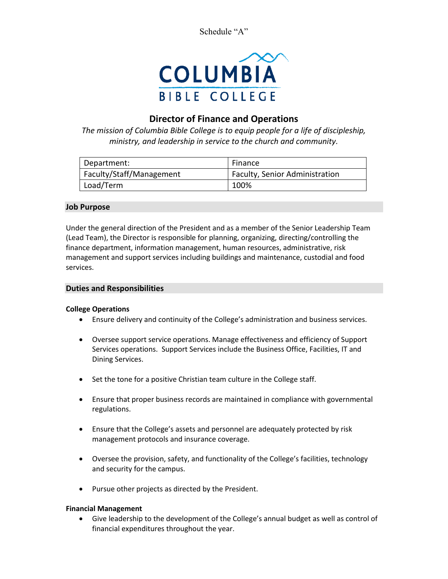Schedule "A"



# **Director of Finance and Operations**

*The mission of Columbia Bible College is to equip people for a life of discipleship, ministry, and leadership in service to the church and community.*

| Department:              | Finance                        |
|--------------------------|--------------------------------|
| Faculty/Staff/Management | Faculty, Senior Administration |
| Load/Term                | 100%                           |

# **Job Purpose**

Under the general direction of the President and as a member of the Senior Leadership Team (Lead Team), the Director is responsible for planning, organizing, directing/controlling the finance department, information management, human resources, administrative, risk management and support services including buildings and maintenance, custodial and food services.

## **Duties and Responsibilities**

## **College Operations**

- Ensure delivery and continuity of the College's administration and business services.
- Oversee support service operations. Manage effectiveness and efficiency of Support Services operations. Support Services include the Business Office, Facilities, IT and Dining Services.
- Set the tone for a positive Christian team culture in the College staff.
- Ensure that proper business records are maintained in compliance with governmental regulations.
- Ensure that the College's assets and personnel are adequately protected by risk management protocols and insurance coverage.
- Oversee the provision, safety, and functionality of the College's facilities, technology and security for the campus.
- Pursue other projects as directed by the President.

## **Financial Management**

• Give leadership to the development of the College's annual budget as well as control of financial expenditures throughout the year.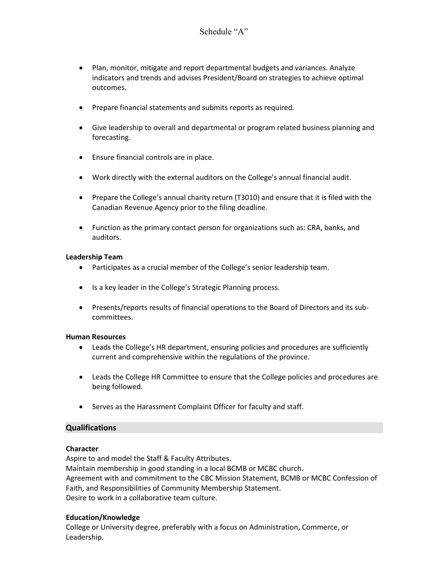- Plan, monitor, mitigate and report departmental budgets and variances. Analyze indicators and trends and advises President/Board on strategies to achieve optimal outcomes.
- Prepare financial statements and submits reports as required.
- Give leadership to overall and departmental or program related business planning and forecasting.
- Ensure financial controls are in place.
- Work directly with the external auditors on the College's annual financial audit.
- Prepare the College's annual charity return (T3010) and ensure that it is filed with the Canadian Revenue Agency prior to the filing deadline.
- Function as the primary contact person for organizations such as: CRA, banks, and auditors.

# **Leadership Team**

- Participates as a crucial member of the College's senior leadership team.
- Is a key leader in the College's Strategic Planning process.
- Presents/reports results of financial operations to the Board of Directors and its subcommittees.

## **Human Resources**

- Leads the College's HR department, ensuring policies and procedures are sufficiently current and comprehensive within the regulations of the province.
- Leads the College HR Committee to ensure that the College policies and procedures are being followed.
- Serves as the Harassment Complaint Officer for faculty and staff.

## **Qualifications**

## **Character**

Aspire to and model the Staff & Faculty Attributes. Maintain membership in good standing in a local BCMB or MCBC church. Agreement with and commitment to the CBC Mission Statement, BCMB or MCBC Confession of Faith, and Responsibilities of Community Membership Statement. Desire to work in a collaborative team culture.

## **Education/Knowledge**

College or University degree, preferably with a focus on Administration, Commerce, or Leadership.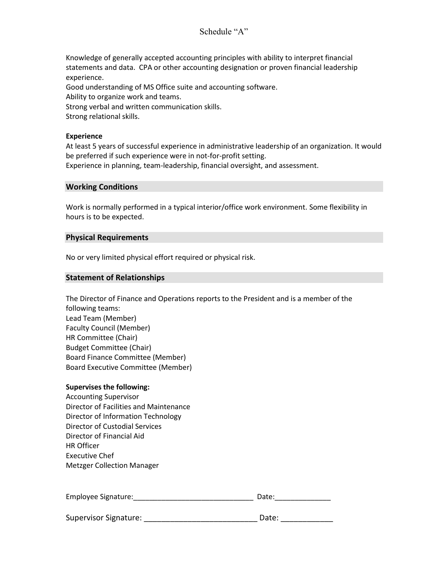# Schedule "A"

Knowledge of generally accepted accounting principles with ability to interpret financial statements and data. CPA or other accounting designation or proven financial leadership experience. Good understanding of MS Office suite and accounting software. Ability to organize work and teams. Strong verbal and written communication skills. Strong relational skills.

#### **Experience**

At least 5 years of successful experience in administrative leadership of an organization. It would be preferred if such experience were in not-for-profit setting.

Experience in planning, team-leadership, financial oversight, and assessment.

#### **Working Conditions**

Work is normally performed in a typical interior/office work environment. Some flexibility in hours is to be expected.

## **Physical Requirements**

No or very limited physical effort required or physical risk.

#### **Statement of Relationships**

The Director of Finance and Operations reports to the President and is a member of the following teams: Lead Team (Member) Faculty Council (Member) HR Committee (Chair) Budget Committee (Chair) Board Finance Committee (Member) Board Executive Committee (Member)

#### **Supervises the following:**

Accounting Supervisor Director of Facilities and Maintenance Director of Information Technology Director of Custodial Services Director of Financial Aid HR Officer Executive Chef Metzger Collection Manager

| Employee Signature:   | Date: |
|-----------------------|-------|
|                       |       |
| Supervisor Signature: | Date: |